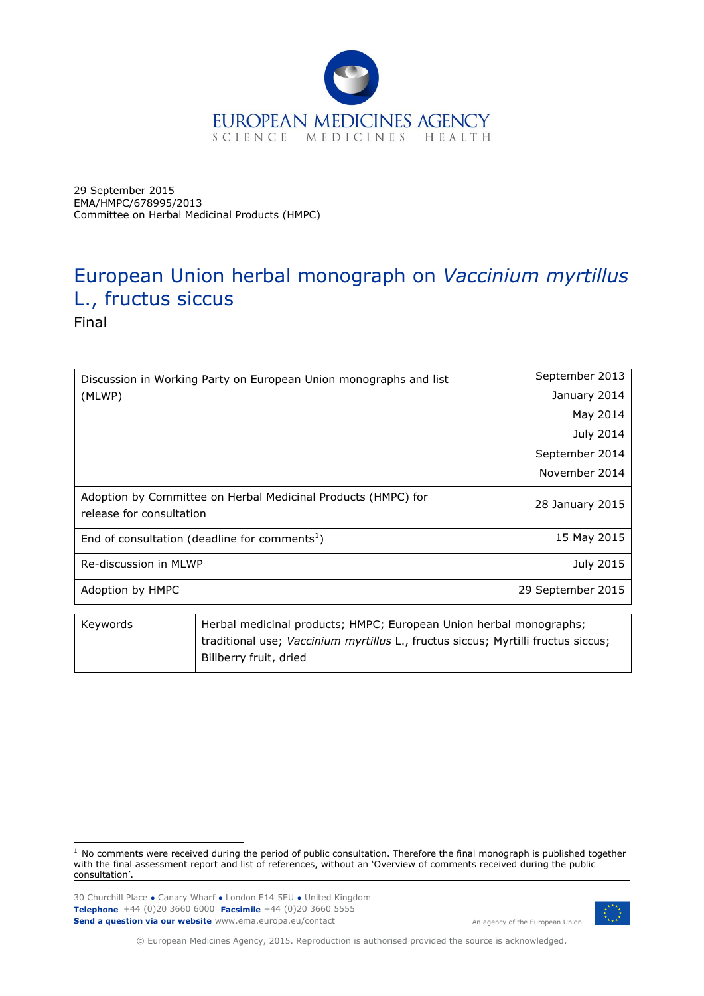

29 September 2015 EMA/HMPC/678995/2013 Committee on Herbal Medicinal Products (HMPC)

# European Union herbal monograph on *Vaccinium myrtillus*  L., fructus siccus

Final

| Discussion in Working Party on European Union monographs and list                         | September 2013    |
|-------------------------------------------------------------------------------------------|-------------------|
| (MLWP)                                                                                    | January 2014      |
|                                                                                           | May 2014          |
|                                                                                           | July 2014         |
|                                                                                           | September 2014    |
|                                                                                           | November 2014     |
| Adoption by Committee on Herbal Medicinal Products (HMPC) for<br>release for consultation | 28 January 2015   |
| End of consultation (deadline for comments <sup>1</sup> )                                 | 15 May 2015       |
| Re-discussion in MLWP                                                                     | July 2015         |
| Adoption by HMPC                                                                          | 29 September 2015 |
|                                                                                           |                   |

| Kevwords | Herbal medicinal products; HMPC; European Union herbal monographs;                |
|----------|-----------------------------------------------------------------------------------|
|          | traditional use; Vaccinium myrtillus L., fructus siccus; Myrtilli fructus siccus; |
|          | Billberry fruit, dried                                                            |

30 Churchill Place **●** Canary Wharf **●** London E14 5EU **●** United Kingdom **Telephone** +44 (0)20 3660 6000 **Facsimile** +44 (0)20 3660 5555 **Send a question via our website** www.ema.europa.eu/contact



An agency of the European Union

© European Medicines Agency, 2015. Reproduction is authorised provided the source is acknowledged.

ł  $1$  No comments were received during the period of public consultation. Therefore the final monograph is published together with the final assessment report and list of references, without an 'Overview of comments received during the public consultation'.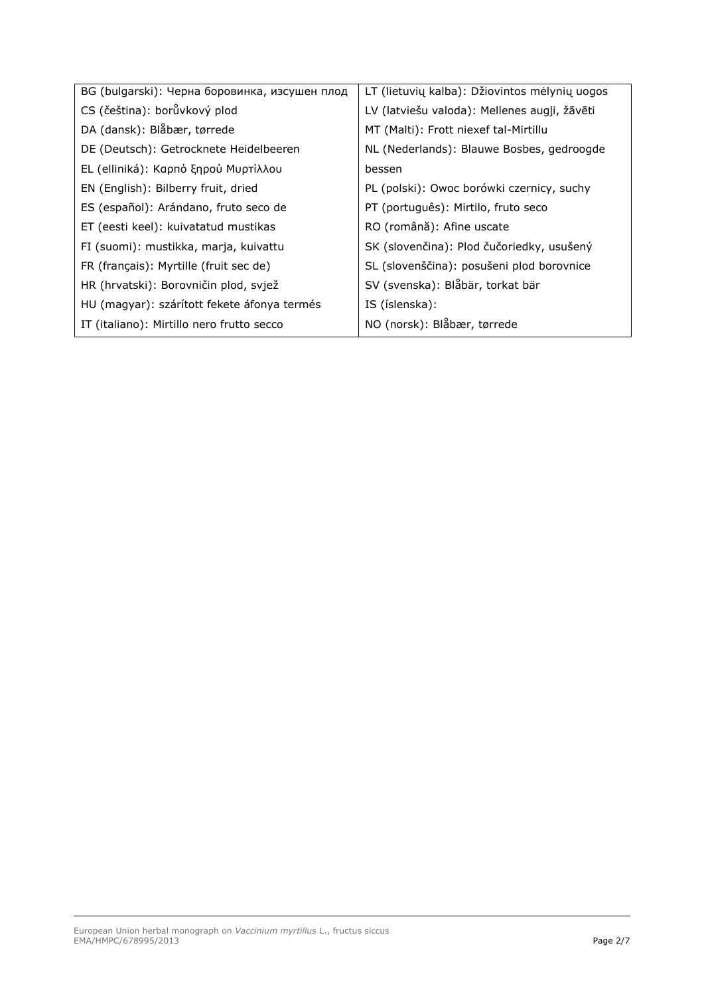| BG (bulgarski): Черна боровинка, изсушен плод | LT (lietuvių kalba): Džiovintos mėlynių uogos |
|-----------------------------------------------|-----------------------------------------------|
| CS (čeština): borůvkový plod                  | LV (latviešu valoda): Mellenes augļi, žāvēti  |
| DA (dansk): Blåbær, tørrede                   | MT (Malti): Frott niexef tal-Mirtillu         |
| DE (Deutsch): Getrocknete Heidelbeeren        | NL (Nederlands): Blauwe Bosbes, gedroogde     |
| EL (elliniká): Καρπό ξηρού Μυρτίλλου          | bessen                                        |
| EN (English): Bilberry fruit, dried           | PL (polski): Owoc borówki czernicy, suchy     |
| ES (español): Arándano, fruto seco de         | PT (português): Mirtilo, fruto seco           |
| ET (eesti keel): kuivatatud mustikas          | RO (română): Afine uscate                     |
| FI (suomi): mustikka, marja, kuivattu         | SK (slovenčina): Plod čučoriedky, usušený     |
| FR (français): Myrtille (fruit sec de)        | SL (slovenščina): posušeni plod borovnice     |
| HR (hrvatski): Borovničin plod, svjež         | SV (svenska): Blåbär, torkat bär              |
| HU (magyar): szárított fekete áfonya termés   | IS (íslenska):                                |
| IT (italiano): Mirtillo nero frutto secco     | NO (norsk): Blåbær, tørrede                   |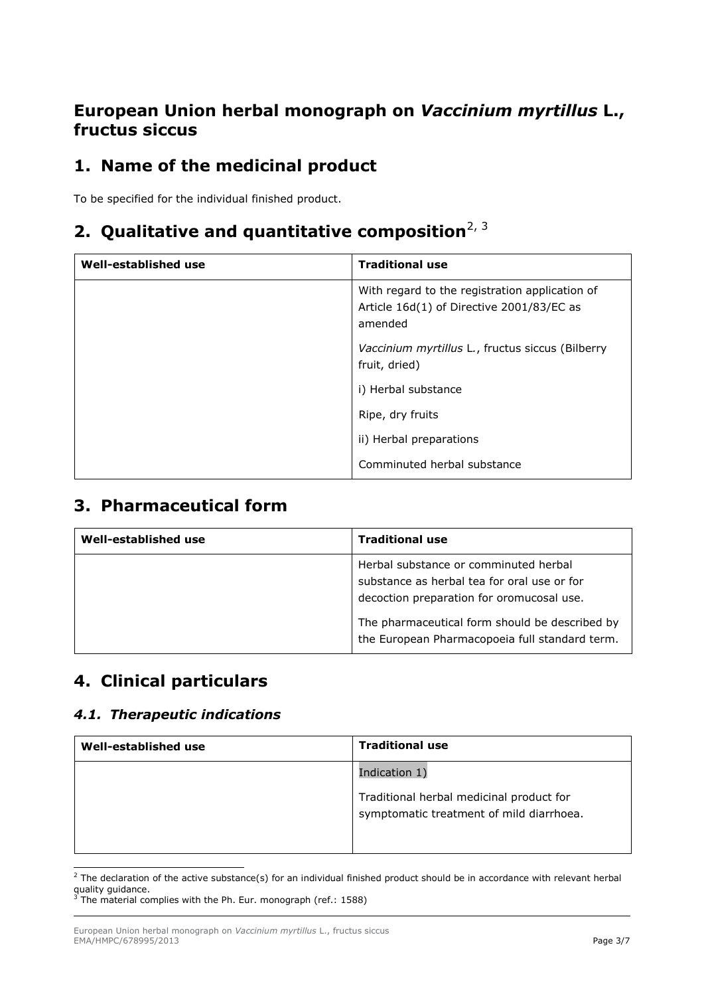## **European Union herbal monograph on** *Vaccinium myrtillus* **L., fructus siccus**

# **1. Name of the medicinal product**

To be specified for the individual finished product.

# 2. Qualitative and quantitative composition<sup>2, 3</sup>

| Well-established use | <b>Traditional use</b>                                                                                 |
|----------------------|--------------------------------------------------------------------------------------------------------|
|                      | With regard to the registration application of<br>Article 16d(1) of Directive 2001/83/EC as<br>amended |
|                      | Vaccinium myrtillus L., fructus siccus (Bilberry<br>fruit, dried)                                      |
|                      | i) Herbal substance                                                                                    |
|                      | Ripe, dry fruits                                                                                       |
|                      | ii) Herbal preparations                                                                                |
|                      | Comminuted herbal substance                                                                            |

## **3. Pharmaceutical form**

| Well-established use | <b>Traditional use</b>                                                                                                            |
|----------------------|-----------------------------------------------------------------------------------------------------------------------------------|
|                      | Herbal substance or comminuted herbal<br>substance as herbal tea for oral use or for<br>decoction preparation for oromucosal use. |
|                      | The pharmaceutical form should be described by<br>the European Pharmacopoeia full standard term.                                  |

## **4. Clinical particulars**

### *4.1. Therapeutic indications*

| Well-established use | <b>Traditional use</b>                                                               |
|----------------------|--------------------------------------------------------------------------------------|
|                      | Indication 1)                                                                        |
|                      | Traditional herbal medicinal product for<br>symptomatic treatment of mild diarrhoea. |

ł  $^2$  The declaration of the active substance(s) for an individual finished product should be in accordance with relevant herbal quality guidance. <sup>3</sup> The material complies with the Ph. Eur. monograph (ref.: 1588)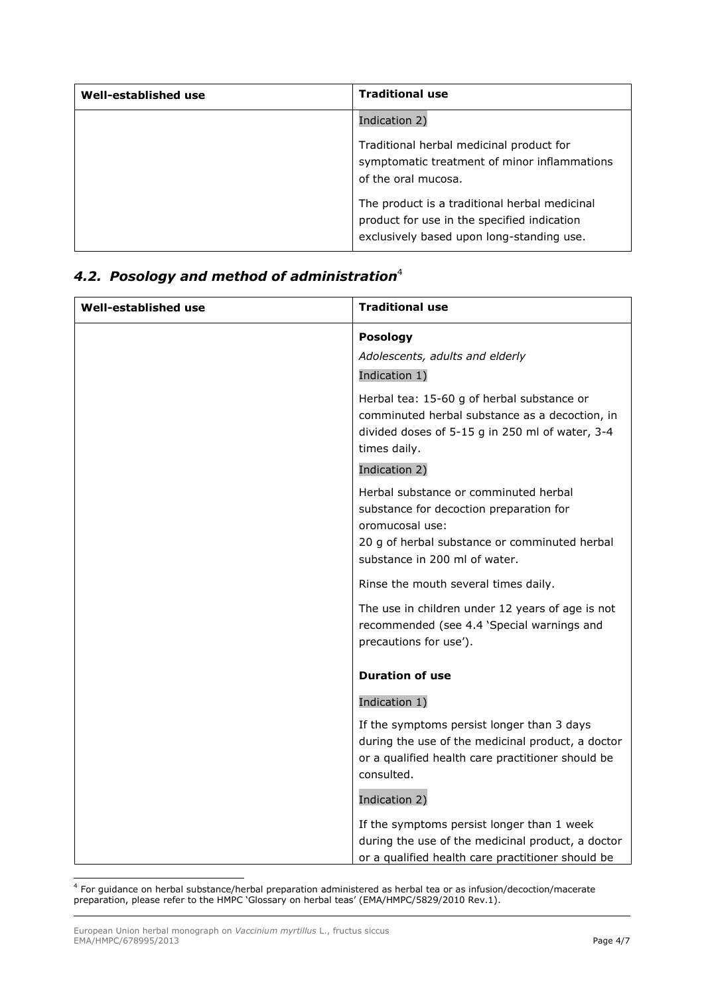| Well-established use | <b>Traditional use</b>                                                                                                                    |
|----------------------|-------------------------------------------------------------------------------------------------------------------------------------------|
|                      | Indication 2)                                                                                                                             |
|                      | Traditional herbal medicinal product for<br>symptomatic treatment of minor inflammations<br>of the oral mucosa.                           |
|                      | The product is a traditional herbal medicinal<br>product for use in the specified indication<br>exclusively based upon long-standing use. |

### *4.2. Posology and method of administration* 4

| Well-established use | <b>Traditional use</b>                                                                                                                                                                                 |
|----------------------|--------------------------------------------------------------------------------------------------------------------------------------------------------------------------------------------------------|
|                      | <b>Posology</b><br>Adolescents, adults and elderly<br>Indication 1)                                                                                                                                    |
|                      | Herbal tea: 15-60 g of herbal substance or<br>comminuted herbal substance as a decoction, in<br>divided doses of 5-15 g in 250 ml of water, 3-4<br>times daily.                                        |
|                      | Indication 2)<br>Herbal substance or comminuted herbal<br>substance for decoction preparation for<br>oromucosal use:<br>20 g of herbal substance or comminuted herbal<br>substance in 200 ml of water. |
|                      | Rinse the mouth several times daily.                                                                                                                                                                   |
|                      | The use in children under 12 years of age is not<br>recommended (see 4.4 'Special warnings and<br>precautions for use').                                                                               |
|                      | <b>Duration of use</b>                                                                                                                                                                                 |
|                      | Indication 1)                                                                                                                                                                                          |
|                      | If the symptoms persist longer than 3 days<br>during the use of the medicinal product, a doctor<br>or a qualified health care practitioner should be<br>consulted.                                     |
|                      | Indication 2)                                                                                                                                                                                          |
|                      | If the symptoms persist longer than 1 week<br>during the use of the medicinal product, a doctor<br>or a qualified health care practitioner should be                                                   |

 4 For guidance on herbal substance/herbal preparation administered as herbal tea or as infusion/decoction/macerate preparation, please refer to the HMPC 'Glossary on herbal teas' (EMA/HMPC/5829/2010 Rev.1).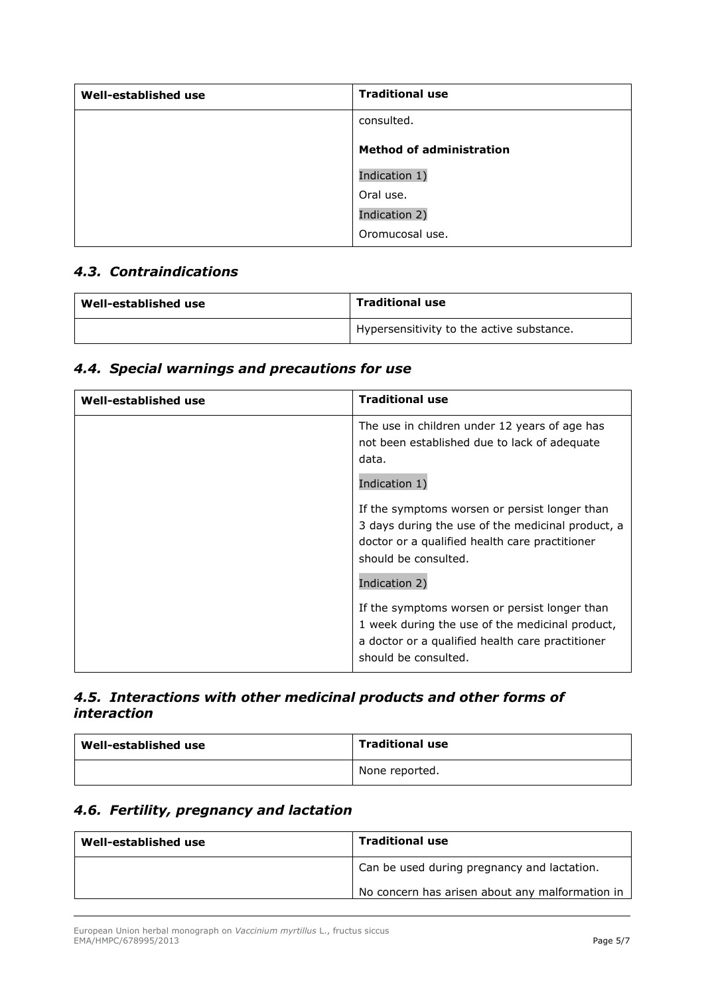| Well-established use | <b>Traditional use</b>          |
|----------------------|---------------------------------|
|                      | consulted.                      |
|                      | <b>Method of administration</b> |
|                      | Indication 1)                   |
|                      | Oral use.                       |
|                      | Indication 2)                   |
|                      | Oromucosal use.                 |

#### *4.3. Contraindications*

| Well-established use | <b>Traditional use</b>                    |
|----------------------|-------------------------------------------|
|                      | Hypersensitivity to the active substance. |

### *4.4. Special warnings and precautions for use*

| Well-established use | <b>Traditional use</b>                                                                                                                                                                        |
|----------------------|-----------------------------------------------------------------------------------------------------------------------------------------------------------------------------------------------|
|                      | The use in children under 12 years of age has<br>not been established due to lack of adequate<br>data.                                                                                        |
|                      | Indication 1)                                                                                                                                                                                 |
|                      | If the symptoms worsen or persist longer than<br>3 days during the use of the medicinal product, a<br>doctor or a qualified health care practitioner<br>should be consulted.<br>Indication 2) |
|                      | If the symptoms worsen or persist longer than<br>1 week during the use of the medicinal product,<br>a doctor or a qualified health care practitioner<br>should be consulted.                  |

### *4.5. Interactions with other medicinal products and other forms of interaction*

| Well-established use | <b>Traditional use</b> |
|----------------------|------------------------|
|                      | None reported.         |

## *4.6. Fertility, pregnancy and lactation*

| Well-established use | <b>Traditional use</b>                          |
|----------------------|-------------------------------------------------|
|                      | Can be used during pregnancy and lactation.     |
|                      | No concern has arisen about any malformation in |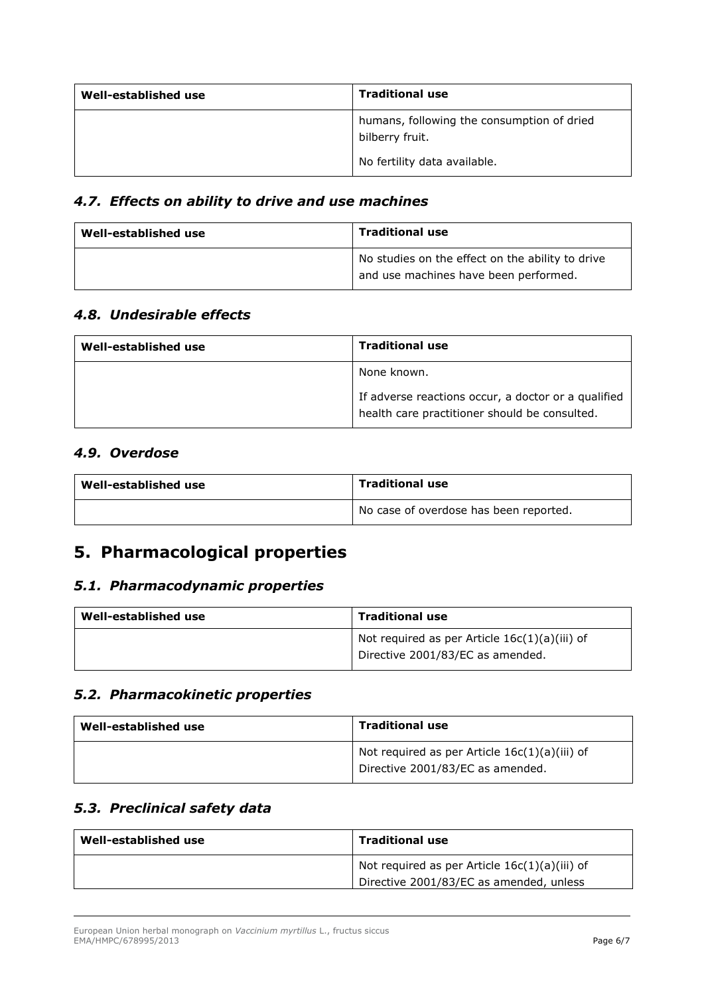| Well-established use | <b>Traditional use</b>                                        |
|----------------------|---------------------------------------------------------------|
|                      | humans, following the consumption of dried<br>bilberry fruit. |
|                      | No fertility data available.                                  |

### *4.7. Effects on ability to drive and use machines*

| Well-established use | <b>Traditional use</b>                                                                    |
|----------------------|-------------------------------------------------------------------------------------------|
|                      | No studies on the effect on the ability to drive<br>and use machines have been performed. |

#### *4.8. Undesirable effects*

| Well-established use | <b>Traditional use</b>                                                                               |
|----------------------|------------------------------------------------------------------------------------------------------|
|                      | None known.                                                                                          |
|                      | If adverse reactions occur, a doctor or a qualified<br>health care practitioner should be consulted. |

#### *4.9. Overdose*

| Well-established use | <b>Traditional use</b>                 |
|----------------------|----------------------------------------|
|                      | No case of overdose has been reported. |

## **5. Pharmacological properties**

#### *5.1. Pharmacodynamic properties*

| Well-established use | <b>Traditional use</b>                                                              |
|----------------------|-------------------------------------------------------------------------------------|
|                      | Not required as per Article $16c(1)(a)(iii)$ of<br>Directive 2001/83/EC as amended. |

#### *5.2. Pharmacokinetic properties*

| Well-established use | <b>Traditional use</b>                                                              |
|----------------------|-------------------------------------------------------------------------------------|
|                      | Not required as per Article $16c(1)(a)(iii)$ of<br>Directive 2001/83/EC as amended. |

#### *5.3. Preclinical safety data*

| Well-established use | <b>Traditional use</b>                          |
|----------------------|-------------------------------------------------|
|                      | Not required as per Article $16c(1)(a)(iii)$ of |
|                      | Directive 2001/83/EC as amended, unless         |